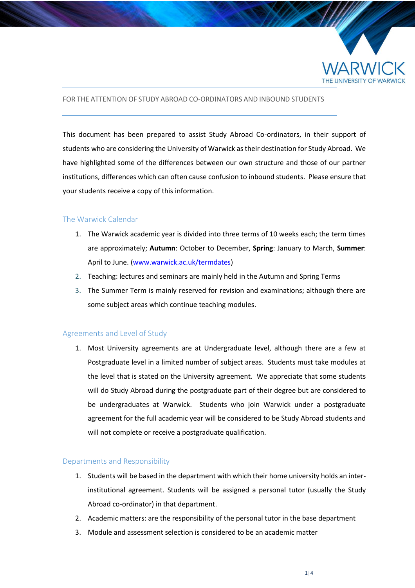

### FOR THE ATTENTION OF STUDY ABROAD CO-ORDINATORS AND INBOUND STUDENTS

This document has been prepared to assist Study Abroad Co-ordinators, in their support of students who are considering the University of Warwick as their destination for Study Abroad. We have highlighted some of the differences between our own structure and those of our partner institutions, differences which can often cause confusion to inbound students. Please ensure that your students receive a copy of this information.

### The Warwick Calendar

- 1. The Warwick academic year is divided into three terms of 10 weeks each; the term times are approximately; **Autumn**: October to December, **Spring**: January to March, **Summer**: April to June. [\(www.warwick.ac.uk/termdates\)](http://www.warwick.ac.uk/termdates)
- 2. Teaching: lectures and seminars are mainly held in the Autumn and Spring Terms
- 3. The Summer Term is mainly reserved for revision and examinations; although there are some subject areas which continue teaching modules.

## Agreements and Level of Study

1. Most University agreements are at Undergraduate level, although there are a few at Postgraduate level in a limited number of subject areas. Students must take modules at the level that is stated on the University agreement. We appreciate that some students will do Study Abroad during the postgraduate part of their degree but are considered to be undergraduates at Warwick. Students who join Warwick under a postgraduate agreement for the full academic year will be considered to be Study Abroad students and will not complete or receive a postgraduate qualification.

#### Departments and Responsibility

- 1. Students will be based in the department with which their home university holds an interinstitutional agreement. Students will be assigned a personal tutor (usually the Study Abroad co-ordinator) in that department.
- 2. Academic matters: are the responsibility of the personal tutor in the base department
- 3. Module and assessment selection is considered to be an academic matter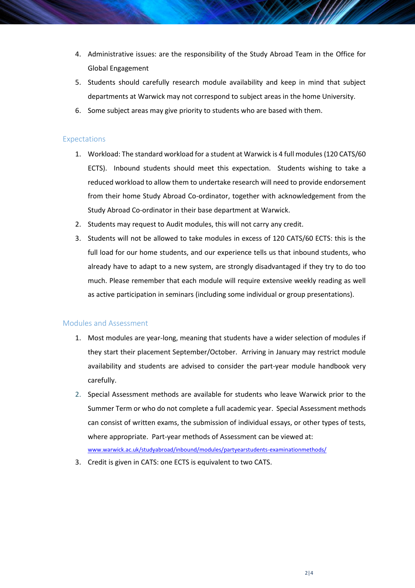- 4. Administrative issues: are the responsibility of the Study Abroad Team in the Office for Global Engagement
- 5. Students should carefully research module availability and keep in mind that subject departments at Warwick may not correspond to subject areas in the home University.
- 6. Some subject areas may give priority to students who are based with them.

### Expectations

- 1. Workload: The standard workload for a student at Warwick is 4 full modules (120 CATS/60 ECTS). Inbound students should meet this expectation. Students wishing to take a reduced workload to allow them to undertake research will need to provide endorsement from their home Study Abroad Co-ordinator, together with acknowledgement from the Study Abroad Co-ordinator in their base department at Warwick.
- 2. Students may request to Audit modules, this will not carry any credit.
- 3. Students will not be allowed to take modules in excess of 120 CATS/60 ECTS: this is the full load for our home students, and our experience tells us that inbound students, who already have to adapt to a new system, are strongly disadvantaged if they try to do too much. Please remember that each module will require extensive weekly reading as well as active participation in seminars (including some individual or group presentations).

#### Modules and Assessment

- 1. Most modules are year-long, meaning that students have a wider selection of modules if they start their placement September/October. Arriving in January may restrict module availability and students are advised to consider the part-year module handbook very carefully.
- 2. Special Assessment methods are available for students who leave Warwick prior to the Summer Term or who do not complete a full academic year. Special Assessment methods can consist of written exams, the submission of individual essays, or other types of tests, where appropriate. Part-year methods of Assessment can be viewed at: [www.warwick.ac.uk/studyabroad/inbound/modules/partyearstudents-examinationmethods/](http://www.warwick.ac.uk/studyabroad/inbound/modules/partyearstudents-examinationmethods/)
- 3. Credit is given in CATS: one ECTS is equivalent to two CATS.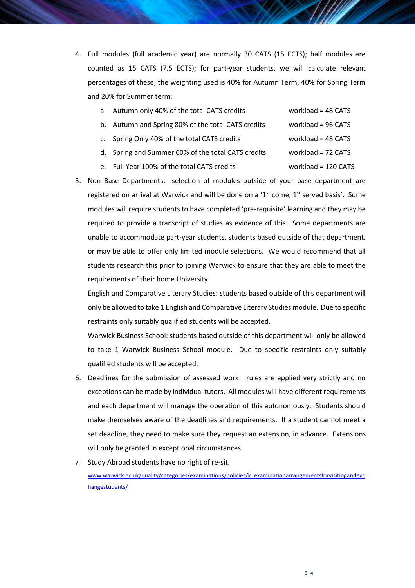4. Full modules (full academic year) are normally 30 CATS (15 ECTS); half modules are counted as 15 CATS (7.5 ECTS); for part-year students, we will calculate relevant percentages of these, the weighting used is 40% for Autumn Term, 40% for Spring Term and 20% for Summer term:

| a. Autumn only 40% of the total CATS credits | workload = $48$ CATS |
|----------------------------------------------|----------------------|
|                                              |                      |

- b. Autumn and Spring 80% of the total CATS credits workload = 96 CATS
- c. Spring Only 40% of the total CATS credits workload = 48 CATS
- d. Spring and Summer 60% of the total CATS credits workload = 72 CATS
- e. Full Year 100% of the total CATS credits workload = 120 CATS
- 5. Non Base Departments: selection of modules outside of your base department are registered on arrival at Warwick and will be done on a ' $1<sup>st</sup>$  come,  $1<sup>st</sup>$  served basis'. Some modules will require students to have completed 'pre-requisite' learning and they may be required to provide a transcript of studies as evidence of this. Some departments are unable to accommodate part-year students, students based outside of that department, or may be able to offer only limited module selections. We would recommend that all students research this prior to joining Warwick to ensure that they are able to meet the requirements of their home University.

English and Comparative Literary Studies: students based outside of this department will only be allowed to take 1 English and Comparative Literary Studies module. Due to specific restraints only suitably qualified students will be accepted.

Warwick Business School: students based outside of this department will only be allowed to take 1 Warwick Business School module. Due to specific restraints only suitably qualified students will be accepted.

- 6. Deadlines for the submission of assessed work: rules are applied very strictly and no exceptions can be made by individual tutors. All modules will have different requirements and each department will manage the operation of this autonomously. Students should make themselves aware of the deadlines and requirements. If a student cannot meet a set deadline, they need to make sure they request an extension, in advance. Extensions will only be granted in exceptional circumstances.
- 7. Study Abroad students have no right of re-sit. [www.warwick.ac.uk/quality/categories/examinations/policies/k\\_examinationarrangementsforvisitingandexc](http://www.warwick.ac.uk/quality/categories/examinations/policies/k_examinationarrangementsforvisitingandexchangestudents/) [hangestudents/](http://www.warwick.ac.uk/quality/categories/examinations/policies/k_examinationarrangementsforvisitingandexchangestudents/)